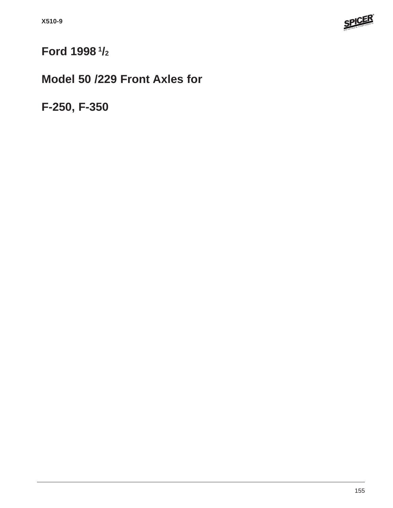

# **Ford 1998 1/2**

# **Model 50 /229 Front Axles for**

**F-250, F-350**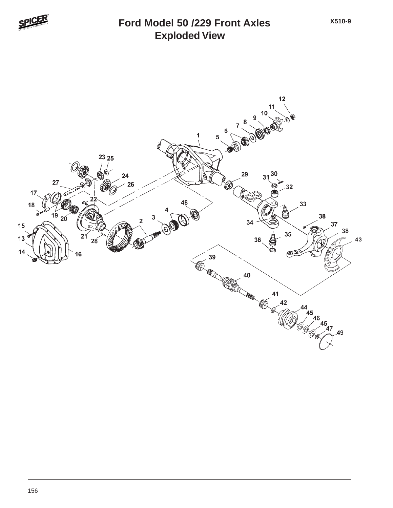

### **Exploded View Ford Model 50 /229 Front Axles**